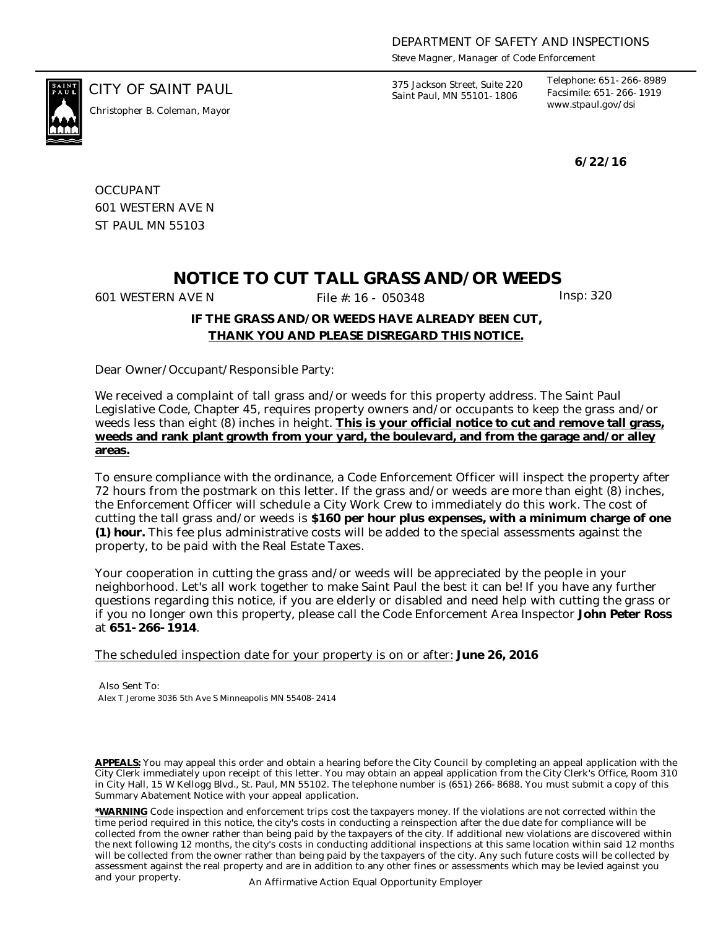*Steve Magner, Manager of Code Enforcement*

*www.stpaul.gov/dsi Christopher B. Coleman, Mayor*

CITY OF SAINT PAUL *375 Jackson Street, Suite 220 Saint Paul, MN 55101-1806*

*Telephone: 651-266-8989 Facsimile: 651-266-1919*

**6/22/16**

**OCCUPANT** 601 WESTERN AVE N ST PAUL MN 55103

## **NOTICE TO CUT TALL GRASS AND/OR WEEDS**

601 WESTERN AVE N File #: 16 - 050348 Insp: 320

## **IF THE GRASS AND/OR WEEDS HAVE ALREADY BEEN CUT, THANK YOU AND PLEASE DISREGARD THIS NOTICE.**

Dear Owner/Occupant/Responsible Party:

We received a complaint of tall grass and/or weeds for this property address. The Saint Paul Legislative Code, Chapter 45, requires property owners and/or occupants to keep the grass and/or weeds less than eight (8) inches in height. **This is your official notice to cut and remove tall grass, weeds and rank plant growth from your yard, the boulevard, and from the garage and/or alley areas.**

To ensure compliance with the ordinance, a Code Enforcement Officer will inspect the property after 72 hours from the postmark on this letter. If the grass and/or weeds are more than eight (8) inches, the Enforcement Officer will schedule a City Work Crew to immediately do this work. The cost of cutting the tall grass and/or weeds is **\$160 per hour plus expenses, with a minimum charge of one (1) hour.** This fee plus administrative costs will be added to the special assessments against the property, to be paid with the Real Estate Taxes.

Your cooperation in cutting the grass and/or weeds will be appreciated by the people in your neighborhood. Let's all work together to make Saint Paul the best it can be! If you have any further questions regarding this notice, if you are elderly or disabled and need help with cutting the grass or if you no longer own this property, please call the Code Enforcement Area Inspector **John Peter Ross** at **651-266-1914**.

The scheduled inspection date for your property is on or after: **June 26, 2016**

Also Sent To: Alex T Jerome 3036 5th Ave S Minneapolis MN 55408-2414

**APPEALS:** You may appeal this order and obtain a hearing before the City Council by completing an appeal application with the City Clerk immediately upon receipt of this letter. You may obtain an appeal application from the City Clerk's Office, Room 310 in City Hall, 15 W Kellogg Blvd., St. Paul, MN 55102. The telephone number is (651) 266-8688. You must submit a copy of this Summary Abatement Notice with your appeal application.

**\*WARNING** Code inspection and enforcement trips cost the taxpayers money. If the violations are not corrected within the time period required in this notice, the city's costs in conducting a reinspection after the due date for compliance will be collected from the owner rather than being paid by the taxpayers of the city. If additional new violations are discovered within the next following 12 months, the city's costs in conducting additional inspections at this same location within said 12 months will be collected from the owner rather than being paid by the taxpayers of the city. Any such future costs will be collected by assessment against the real property and are in addition to any other fines or assessments which may be levied against you and your property. An Affirmative Action Equal Opportunity Employer